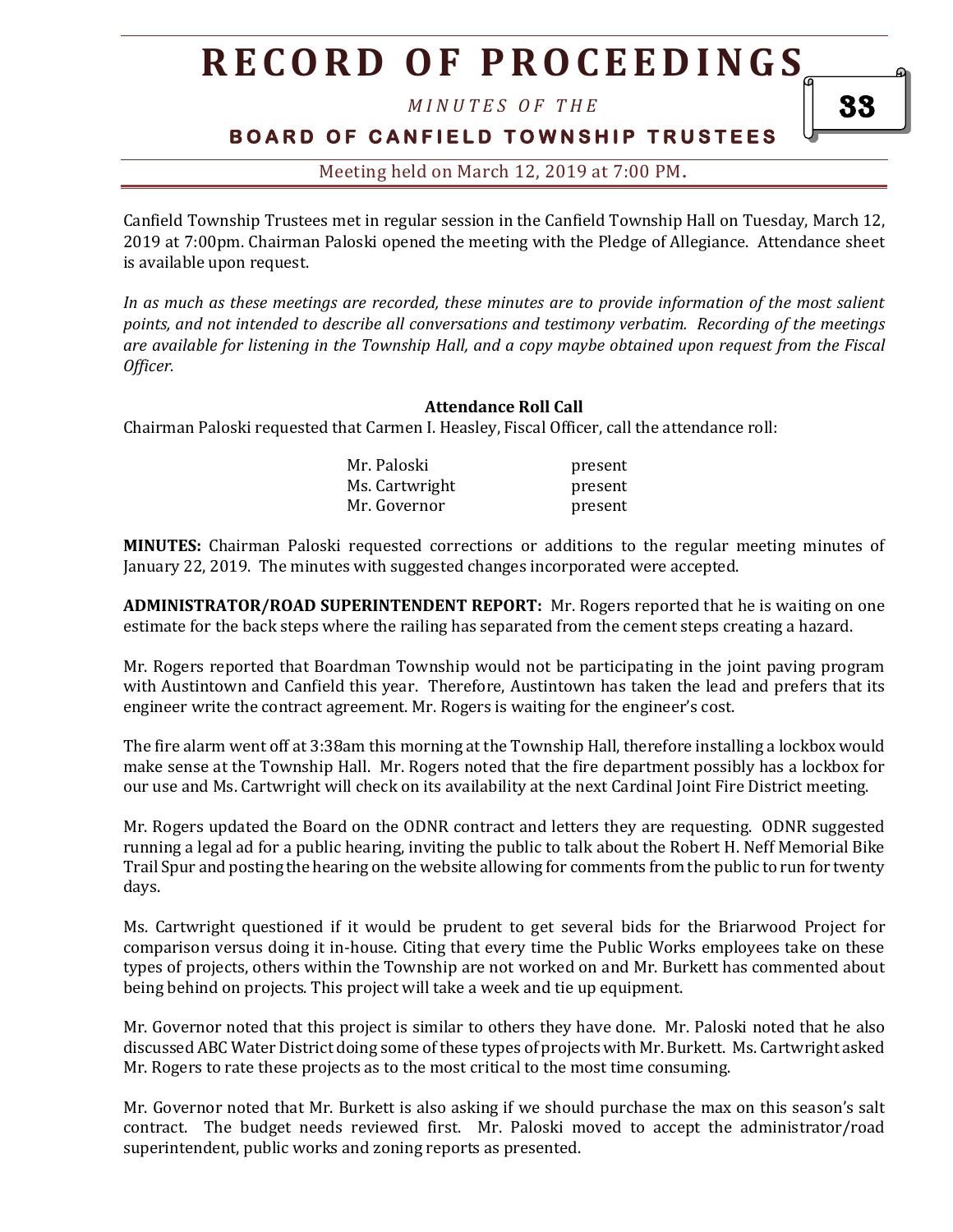*M I N U T E S O F T H E* 

**B O A R D O F C A N F I E L D T O W N S H I P T R U S T E E S** 

Meeting held on March 12, 2019 at 7:00 PM**.**

Canfield Township Trustees met in regular session in the Canfield Township Hall on Tuesday, March 12, 2019 at 7:00pm. Chairman Paloski opened the meeting with the Pledge of Allegiance. Attendance sheet is available upon request.

*In as much as these meetings are recorded, these minutes are to provide information of the most salient points, and not intended to describe all conversations and testimony verbatim. Recording of the meetings are available for listening in the Township Hall, and a copy maybe obtained upon request from the Fiscal Officer.* 

### **Attendance Roll Call**

Chairman Paloski requested that Carmen I. Heasley, Fiscal Officer, call the attendance roll:

| Mr. Paloski    | present |
|----------------|---------|
| Ms. Cartwright | present |
| Mr. Governor   | present |

**MINUTES:** Chairman Paloski requested corrections or additions to the regular meeting minutes of January 22, 2019. The minutes with suggested changes incorporated were accepted.

**ADMINISTRATOR/ROAD SUPERINTENDENT REPORT:** Mr. Rogers reported that he is waiting on one estimate for the back steps where the railing has separated from the cement steps creating a hazard.

Mr. Rogers reported that Boardman Township would not be participating in the joint paving program with Austintown and Canfield this year. Therefore, Austintown has taken the lead and prefers that its engineer write the contract agreement. Mr. Rogers is waiting for the engineer's cost.

The fire alarm went off at 3:38am this morning at the Township Hall, therefore installing a lockbox would make sense at the Township Hall. Mr. Rogers noted that the fire department possibly has a lockbox for our use and Ms. Cartwright will check on its availability at the next Cardinal Joint Fire District meeting.

Mr. Rogers updated the Board on the ODNR contract and letters they are requesting. ODNR suggested running a legal ad for a public hearing, inviting the public to talk about the Robert H. Neff Memorial Bike Trail Spur and posting the hearing on the website allowing for comments from the public to run for twenty days.

Ms. Cartwright questioned if it would be prudent to get several bids for the Briarwood Project for comparison versus doing it in-house. Citing that every time the Public Works employees take on these types of projects, others within the Township are not worked on and Mr. Burkett has commented about being behind on projects. This project will take a week and tie up equipment.

Mr. Governor noted that this project is similar to others they have done. Mr. Paloski noted that he also discussed ABC Water District doing some of these types of projects with Mr. Burkett. Ms. Cartwright asked Mr. Rogers to rate these projects as to the most critical to the most time consuming.

Mr. Governor noted that Mr. Burkett is also asking if we should purchase the max on this season's salt contract. The budget needs reviewed first. Mr. Paloski moved to accept the administrator/road superintendent, public works and zoning reports as presented.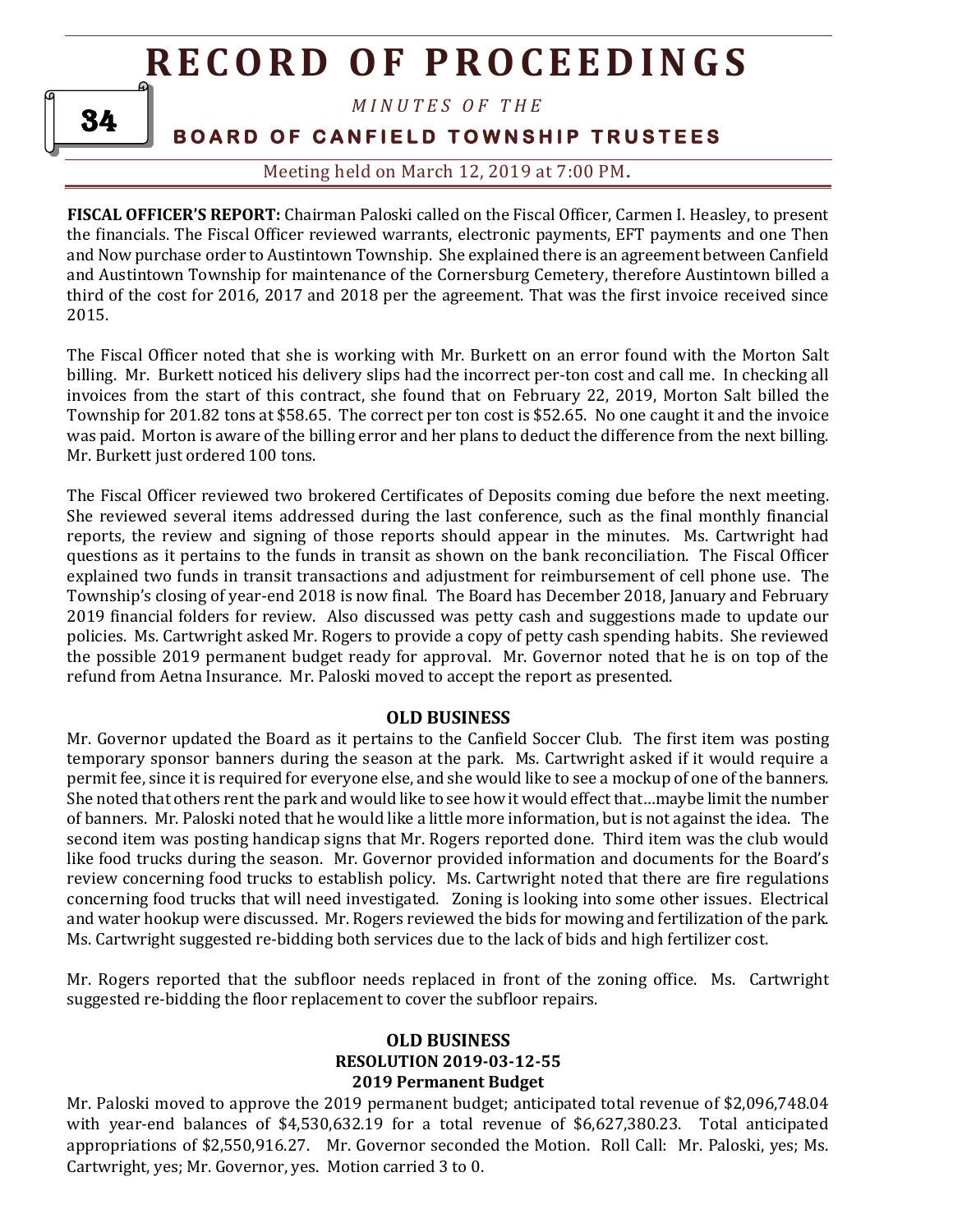34

### *M I N U T E S O F T H E*

## **BOARD OF CANFIELD TOWNSHIP TRUSTEES**

Meeting held on March 12, 2019 at 7:00 PM**.**

**FISCAL OFFICER'S REPORT:** Chairman Paloski called on the Fiscal Officer, Carmen I. Heasley, to present the financials. The Fiscal Officer reviewed warrants, electronic payments, EFT payments and one Then and Now purchase order to Austintown Township. She explained there is an agreement between Canfield and Austintown Township for maintenance of the Cornersburg Cemetery, therefore Austintown billed a third of the cost for 2016, 2017 and 2018 per the agreement. That was the first invoice received since 2015.

The Fiscal Officer noted that she is working with Mr. Burkett on an error found with the Morton Salt billing. Mr. Burkett noticed his delivery slips had the incorrect per-ton cost and call me. In checking all invoices from the start of this contract, she found that on February 22, 2019, Morton Salt billed the Township for 201.82 tons at \$58.65. The correct per ton cost is \$52.65. No one caught it and the invoice was paid. Morton is aware of the billing error and her plans to deduct the difference from the next billing. Mr. Burkett just ordered 100 tons.

The Fiscal Officer reviewed two brokered Certificates of Deposits coming due before the next meeting. She reviewed several items addressed during the last conference, such as the final monthly financial reports, the review and signing of those reports should appear in the minutes. Ms. Cartwright had questions as it pertains to the funds in transit as shown on the bank reconciliation. The Fiscal Officer explained two funds in transit transactions and adjustment for reimbursement of cell phone use. The Township's closing of year-end 2018 is now final. The Board has December 2018, January and February 2019 financial folders for review. Also discussed was petty cash and suggestions made to update our policies. Ms. Cartwright asked Mr. Rogers to provide a copy of petty cash spending habits. She reviewed the possible 2019 permanent budget ready for approval. Mr. Governor noted that he is on top of the refund from Aetna Insurance. Mr. Paloski moved to accept the report as presented.

#### **OLD BUSINESS**

Mr. Governor updated the Board as it pertains to the Canfield Soccer Club. The first item was posting temporary sponsor banners during the season at the park. Ms. Cartwright asked if it would require a permit fee, since it is required for everyone else, and she would like to see a mockup of one of the banners. She noted that others rent the park and would like to see how it would effect that…maybe limit the number of banners. Mr. Paloski noted that he would like a little more information, but is not against the idea. The second item was posting handicap signs that Mr. Rogers reported done. Third item was the club would like food trucks during the season. Mr. Governor provided information and documents for the Board's review concerning food trucks to establish policy. Ms. Cartwright noted that there are fire regulations concerning food trucks that will need investigated. Zoning is looking into some other issues. Electrical and water hookup were discussed. Mr. Rogers reviewed the bids for mowing and fertilization of the park. Ms. Cartwright suggested re-bidding both services due to the lack of bids and high fertilizer cost.

Mr. Rogers reported that the subfloor needs replaced in front of the zoning office. Ms. Cartwright suggested re-bidding the floor replacement to cover the subfloor repairs.

### **OLD BUSINESS RESOLUTION 2019-03-12-55 2019 Permanent Budget**

Mr. Paloski moved to approve the 2019 permanent budget; anticipated total revenue of \$2,096,748.04 with year-end balances of \$4,530,632.19 for a total revenue of \$6,627,380.23. Total anticipated appropriations of \$2,550,916.27. Mr. Governor seconded the Motion. Roll Call: Mr. Paloski, yes; Ms. Cartwright, yes; Mr. Governor, yes. Motion carried 3 to 0.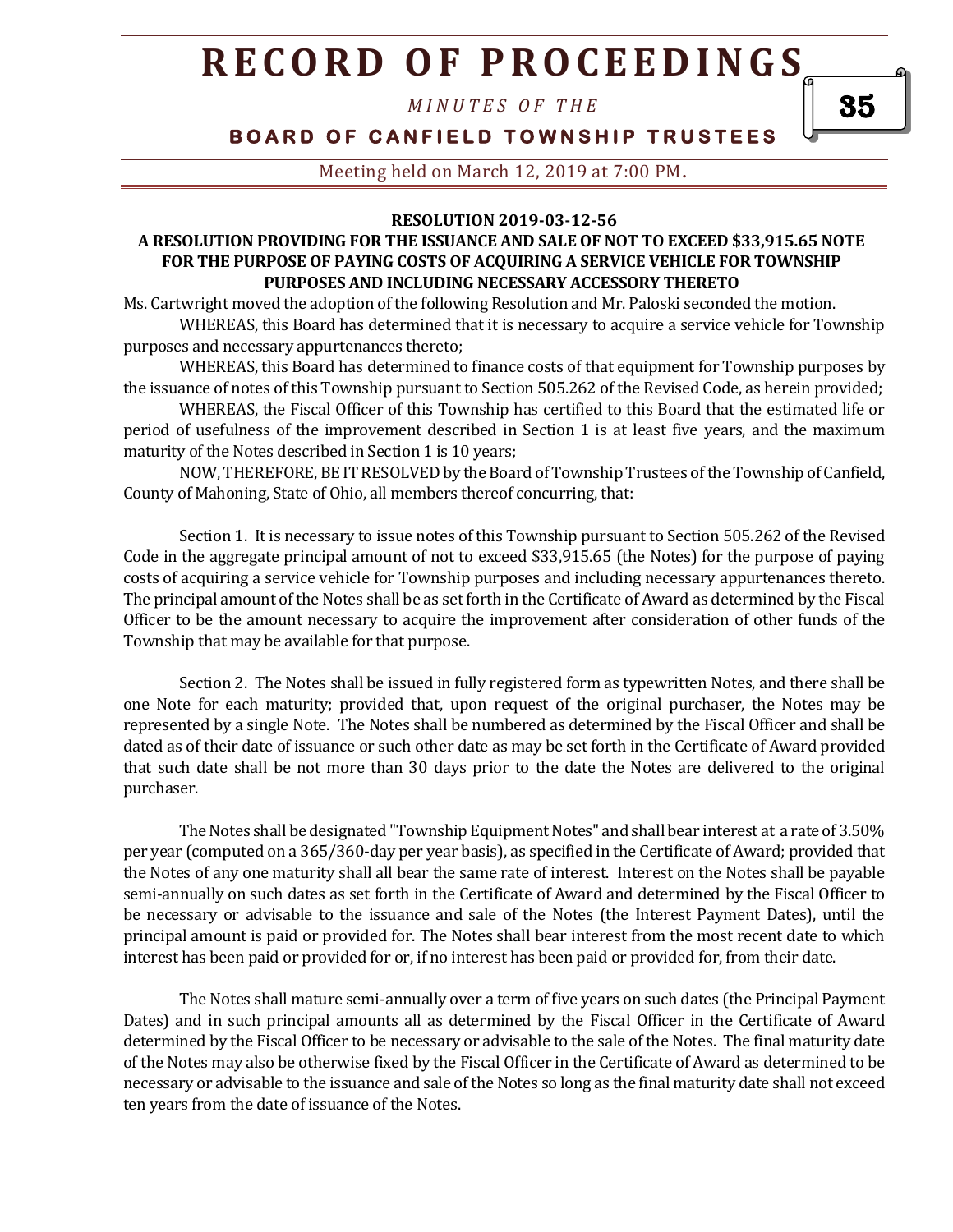*M I N U T E S O F T H E* 

## **BOARD OF CANFIELD TOWNSHIP TRUSTEES**

Meeting held on March 12, 2019 at 7:00 PM**.**

#### **RESOLUTION 2019-03-12-56**

### **A RESOLUTION PROVIDING FOR THE ISSUANCE AND SALE OF NOT TO EXCEED \$33,915.65 NOTE FOR THE PURPOSE OF PAYING COSTS OF ACQUIRING A SERVICE VEHICLE FOR TOWNSHIP PURPOSES AND INCLUDING NECESSARY ACCESSORY THERETO**

Ms. Cartwright moved the adoption of the following Resolution and Mr. Paloski seconded the motion.

WHEREAS, this Board has determined that it is necessary to acquire a service vehicle for Township purposes and necessary appurtenances thereto;

WHEREAS, this Board has determined to finance costs of that equipment for Township purposes by the issuance of notes of this Township pursuant to Section 505.262 of the Revised Code, as herein provided;

WHEREAS, the Fiscal Officer of this Township has certified to this Board that the estimated life or period of usefulness of the improvement described in Section 1 is at least five years, and the maximum maturity of the Notes described in Section 1 is 10 years;

NOW, THEREFORE, BE IT RESOLVED by the Board of Township Trustees of the Township of Canfield, County of Mahoning, State of Ohio, all members thereof concurring, that:

Section 1. It is necessary to issue notes of this Township pursuant to Section 505.262 of the Revised Code in the aggregate principal amount of not to exceed \$33,915.65 (the Notes) for the purpose of paying costs of acquiring a service vehicle for Township purposes and including necessary appurtenances thereto. The principal amount of the Notes shall be as set forth in the Certificate of Award as determined by the Fiscal Officer to be the amount necessary to acquire the improvement after consideration of other funds of the Township that may be available for that purpose.

Section 2. The Notes shall be issued in fully registered form as typewritten Notes, and there shall be one Note for each maturity; provided that, upon request of the original purchaser, the Notes may be represented by a single Note. The Notes shall be numbered as determined by the Fiscal Officer and shall be dated as of their date of issuance or such other date as may be set forth in the Certificate of Award provided that such date shall be not more than 30 days prior to the date the Notes are delivered to the original purchaser.

The Notes shall be designated "Township Equipment Notes" and shall bear interest at a rate of 3.50% per year (computed on a 365/360-day per year basis), as specified in the Certificate of Award; provided that the Notes of any one maturity shall all bear the same rate of interest. Interest on the Notes shall be payable semi-annually on such dates as set forth in the Certificate of Award and determined by the Fiscal Officer to be necessary or advisable to the issuance and sale of the Notes (the Interest Payment Dates), until the principal amount is paid or provided for. The Notes shall bear interest from the most recent date to which interest has been paid or provided for or, if no interest has been paid or provided for, from their date.

The Notes shall mature semi-annually over a term of five years on such dates (the Principal Payment Dates) and in such principal amounts all as determined by the Fiscal Officer in the Certificate of Award determined by the Fiscal Officer to be necessary or advisable to the sale of the Notes. The final maturity date of the Notes may also be otherwise fixed by the Fiscal Officer in the Certificate of Award as determined to be necessary or advisable to the issuance and sale of the Notes so long as the final maturity date shall not exceed ten years from the date of issuance of the Notes.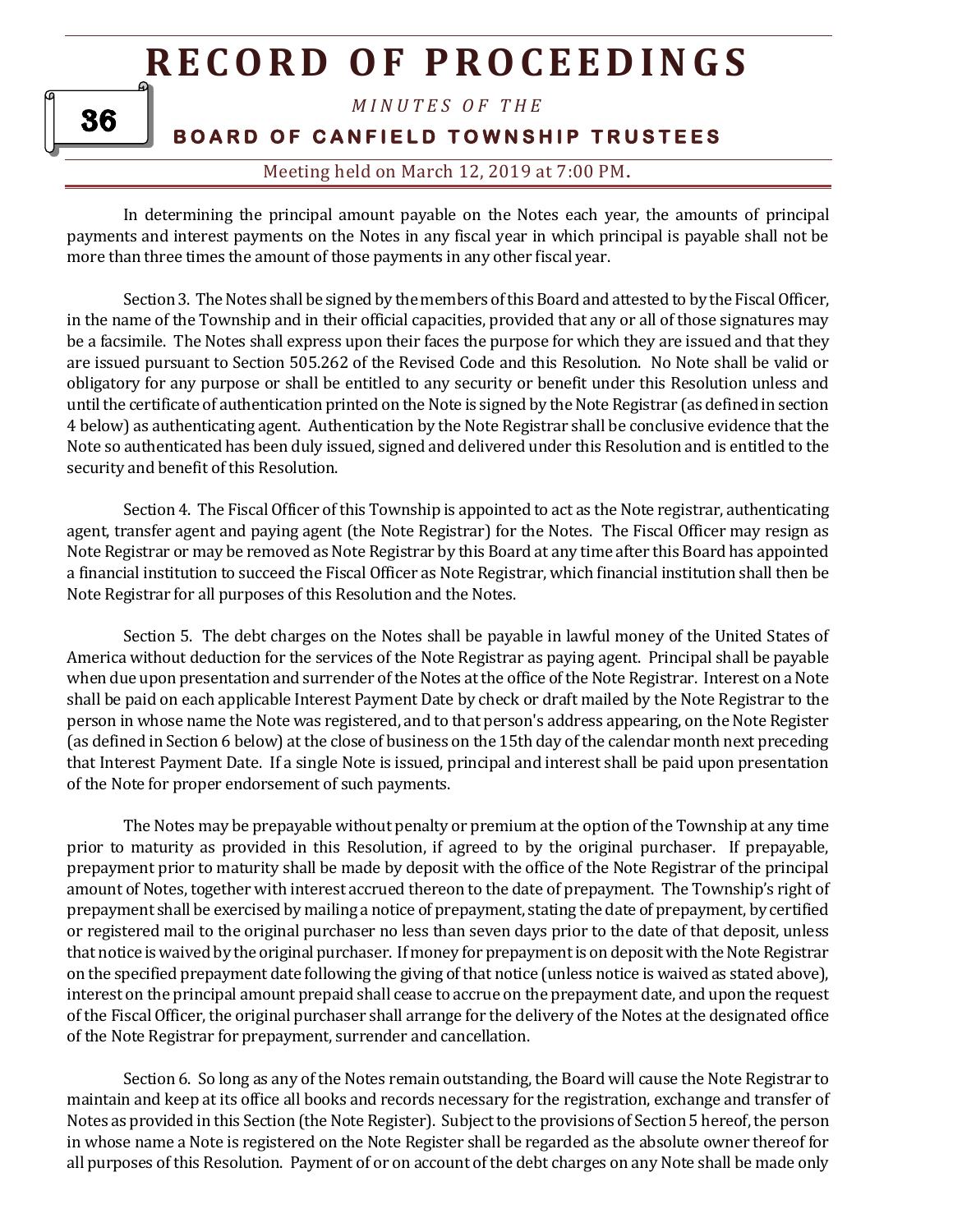## 36

*M I N U T E S O F T H E* 

**BOARD OF CANFIELD TOWNSHIP TRUSTEES** 

Meeting held on March 12, 2019 at 7:00 PM**.**

In determining the principal amount payable on the Notes each year, the amounts of principal payments and interest payments on the Notes in any fiscal year in which principal is payable shall not be more than three times the amount of those payments in any other fiscal year.

Section 3. The Notes shall be signed by the members of this Board and attested to by the Fiscal Officer, in the name of the Township and in their official capacities, provided that any or all of those signatures may be a facsimile. The Notes shall express upon their faces the purpose for which they are issued and that they are issued pursuant to Section 505.262 of the Revised Code and this Resolution. No Note shall be valid or obligatory for any purpose or shall be entitled to any security or benefit under this Resolution unless and until the certificate of authentication printed on the Note is signed by the Note Registrar (as defined in section 4 below) as authenticating agent. Authentication by the Note Registrar shall be conclusive evidence that the Note so authenticated has been duly issued, signed and delivered under this Resolution and is entitled to the security and benefit of this Resolution.

Section 4. The Fiscal Officer of this Township is appointed to act as the Note registrar, authenticating agent, transfer agent and paying agent (the Note Registrar) for the Notes. The Fiscal Officer may resign as Note Registrar or may be removed as Note Registrar by this Board at any time after this Board has appointed a financial institution to succeed the Fiscal Officer as Note Registrar, which financial institution shall then be Note Registrar for all purposes of this Resolution and the Notes.

Section 5. The debt charges on the Notes shall be payable in lawful money of the United States of America without deduction for the services of the Note Registrar as paying agent. Principal shall be payable when due upon presentation and surrender of the Notes at the office of the Note Registrar. Interest on a Note shall be paid on each applicable Interest Payment Date by check or draft mailed by the Note Registrar to the person in whose name the Note was registered, and to that person's address appearing, on the Note Register (as defined in Section 6 below) at the close of business on the 15th day of the calendar month next preceding that Interest Payment Date. If a single Note is issued, principal and interest shall be paid upon presentation of the Note for proper endorsement of such payments.

The Notes may be prepayable without penalty or premium at the option of the Township at any time prior to maturity as provided in this Resolution, if agreed to by the original purchaser. If prepayable, prepayment prior to maturity shall be made by deposit with the office of the Note Registrar of the principal amount of Notes, together with interest accrued thereon to the date of prepayment. The Township's right of prepayment shall be exercised by mailing a notice of prepayment, stating the date of prepayment, by certified or registered mail to the original purchaser no less than seven days prior to the date of that deposit, unless that notice is waived by the original purchaser. If money for prepayment is on deposit with the Note Registrar on the specified prepayment date following the giving of that notice (unless notice is waived as stated above), interest on the principal amount prepaid shall cease to accrue on the prepayment date, and upon the request of the Fiscal Officer, the original purchaser shall arrange for the delivery of the Notes at the designated office of the Note Registrar for prepayment, surrender and cancellation.

Section 6. So long as any of the Notes remain outstanding, the Board will cause the Note Registrar to maintain and keep at its office all books and records necessary for the registration, exchange and transfer of Notes as provided in this Section (the Note Register). Subject to the provisions of Section 5 hereof, the person in whose name a Note is registered on the Note Register shall be regarded as the absolute owner thereof for all purposes of this Resolution. Payment of or on account of the debt charges on any Note shall be made only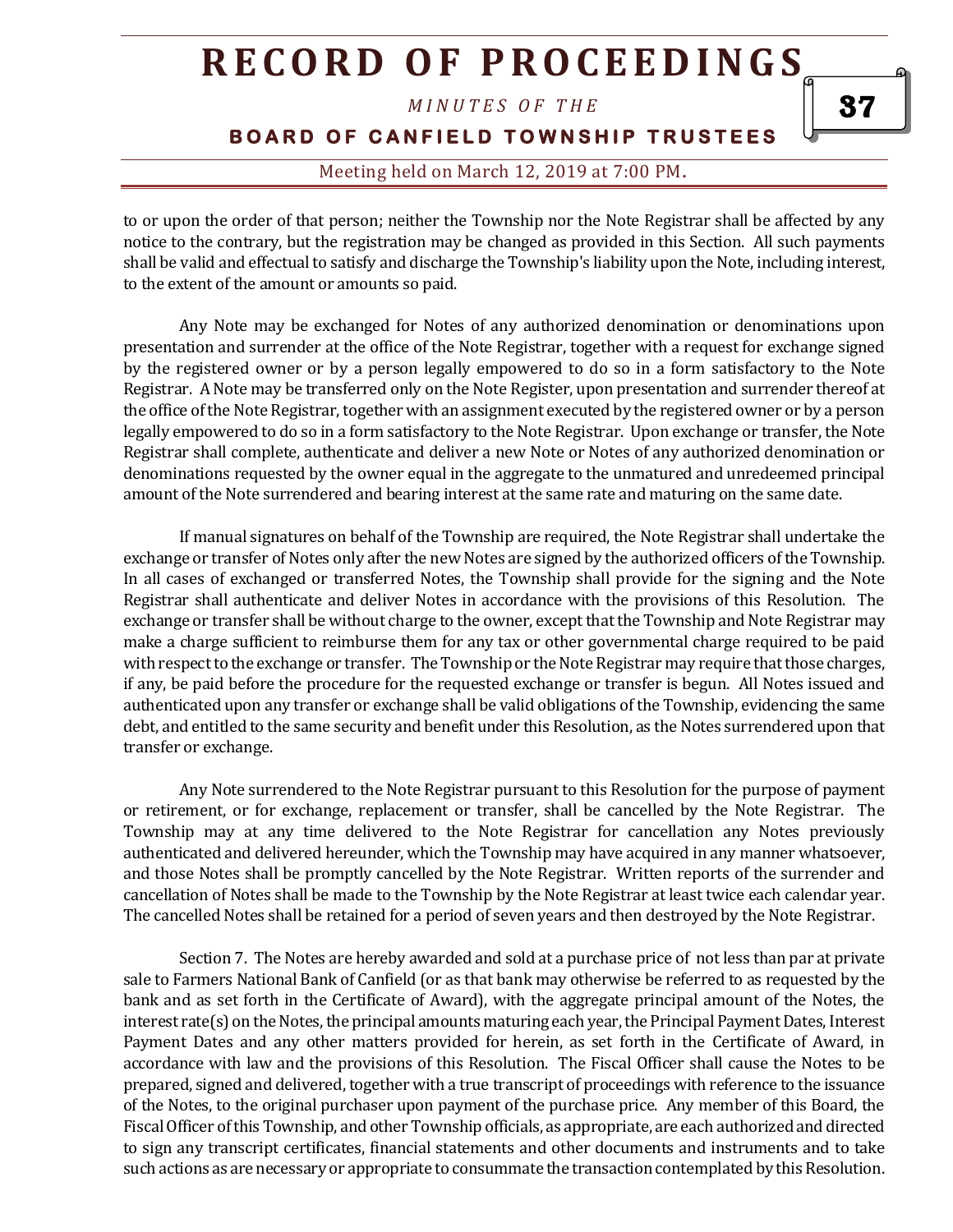*M I N U T E S O F T H E* 

**BOARD OF CANFIELD TOWNSHIP TRUSTEES** 

## Meeting held on March 12, 2019 at 7:00 PM**.**

to or upon the order of that person; neither the Township nor the Note Registrar shall be affected by any notice to the contrary, but the registration may be changed as provided in this Section. All such payments shall be valid and effectual to satisfy and discharge the Township's liability upon the Note, including interest, to the extent of the amount or amounts so paid.

Any Note may be exchanged for Notes of any authorized denomination or denominations upon presentation and surrender at the office of the Note Registrar, together with a request for exchange signed by the registered owner or by a person legally empowered to do so in a form satisfactory to the Note Registrar. A Note may be transferred only on the Note Register, upon presentation and surrender thereof at the office of the Note Registrar, together with an assignment executed by the registered owner or by a person legally empowered to do so in a form satisfactory to the Note Registrar. Upon exchange or transfer, the Note Registrar shall complete, authenticate and deliver a new Note or Notes of any authorized denomination or denominations requested by the owner equal in the aggregate to the unmatured and unredeemed principal amount of the Note surrendered and bearing interest at the same rate and maturing on the same date.

If manual signatures on behalf of the Township are required, the Note Registrar shall undertake the exchange or transfer of Notes only after the new Notes are signed by the authorized officers of the Township. In all cases of exchanged or transferred Notes, the Township shall provide for the signing and the Note Registrar shall authenticate and deliver Notes in accordance with the provisions of this Resolution. The exchange or transfer shall be without charge to the owner, except that the Township and Note Registrar may make a charge sufficient to reimburse them for any tax or other governmental charge required to be paid with respect to the exchange or transfer. The Township or the Note Registrar may require that those charges, if any, be paid before the procedure for the requested exchange or transfer is begun. All Notes issued and authenticated upon any transfer or exchange shall be valid obligations of the Township, evidencing the same debt, and entitled to the same security and benefit under this Resolution, as the Notes surrendered upon that transfer or exchange.

Any Note surrendered to the Note Registrar pursuant to this Resolution for the purpose of payment or retirement, or for exchange, replacement or transfer, shall be cancelled by the Note Registrar. The Township may at any time delivered to the Note Registrar for cancellation any Notes previously authenticated and delivered hereunder, which the Township may have acquired in any manner whatsoever, and those Notes shall be promptly cancelled by the Note Registrar. Written reports of the surrender and cancellation of Notes shall be made to the Township by the Note Registrar at least twice each calendar year. The cancelled Notes shall be retained for a period of seven years and then destroyed by the Note Registrar.

Section 7. The Notes are hereby awarded and sold at a purchase price of not less than par at private sale to Farmers National Bank of Canfield (or as that bank may otherwise be referred to as requested by the bank and as set forth in the Certificate of Award), with the aggregate principal amount of the Notes, the interest rate(s) on the Notes, the principal amounts maturing each year, the Principal Payment Dates, Interest Payment Dates and any other matters provided for herein, as set forth in the Certificate of Award, in accordance with law and the provisions of this Resolution. The Fiscal Officer shall cause the Notes to be prepared, signed and delivered, together with a true transcript of proceedings with reference to the issuance of the Notes, to the original purchaser upon payment of the purchase price. Any member of this Board, the Fiscal Officer of this Township, and other Township officials, as appropriate, are each authorized and directed to sign any transcript certificates, financial statements and other documents and instruments and to take such actions as are necessary or appropriate to consummate the transaction contemplated by this Resolution.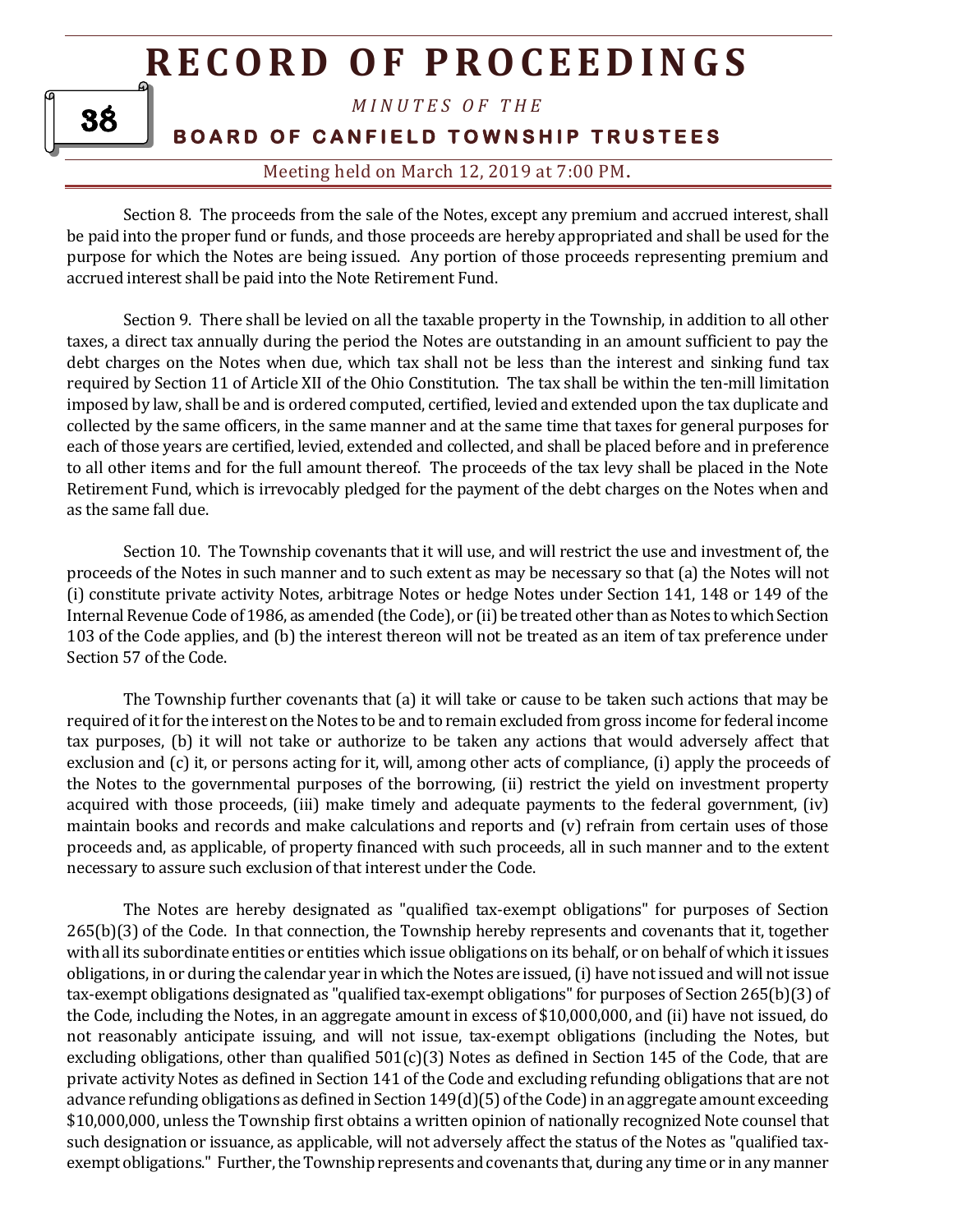38

## *M I N U T E S O F T H E*

**BOARD OF CANFIELD TOWNSHIP TRUSTEES** 

Meeting held on March 12, 2019 at 7:00 PM**.**

Section 8. The proceeds from the sale of the Notes, except any premium and accrued interest, shall be paid into the proper fund or funds, and those proceeds are hereby appropriated and shall be used for the purpose for which the Notes are being issued. Any portion of those proceeds representing premium and accrued interest shall be paid into the Note Retirement Fund.

Section 9. There shall be levied on all the taxable property in the Township, in addition to all other taxes, a direct tax annually during the period the Notes are outstanding in an amount sufficient to pay the debt charges on the Notes when due, which tax shall not be less than the interest and sinking fund tax required by Section 11 of Article XII of the Ohio Constitution. The tax shall be within the ten-mill limitation imposed by law, shall be and is ordered computed, certified, levied and extended upon the tax duplicate and collected by the same officers, in the same manner and at the same time that taxes for general purposes for each of those years are certified, levied, extended and collected, and shall be placed before and in preference to all other items and for the full amount thereof. The proceeds of the tax levy shall be placed in the Note Retirement Fund, which is irrevocably pledged for the payment of the debt charges on the Notes when and as the same fall due.

Section 10. The Township covenants that it will use, and will restrict the use and investment of, the proceeds of the Notes in such manner and to such extent as may be necessary so that (a) the Notes will not (i) constitute private activity Notes, arbitrage Notes or hedge Notes under Section 141, 148 or 149 of the Internal Revenue Code of 1986, as amended (the Code), or (ii) be treated other than as Notes to which Section 103 of the Code applies, and (b) the interest thereon will not be treated as an item of tax preference under Section 57 of the Code.

The Township further covenants that (a) it will take or cause to be taken such actions that may be required of it for the interest on the Notes to be and to remain excluded from gross income for federal income tax purposes, (b) it will not take or authorize to be taken any actions that would adversely affect that exclusion and (c) it, or persons acting for it, will, among other acts of compliance, (i) apply the proceeds of the Notes to the governmental purposes of the borrowing, (ii) restrict the yield on investment property acquired with those proceeds, (iii) make timely and adequate payments to the federal government, (iv) maintain books and records and make calculations and reports and (v) refrain from certain uses of those proceeds and, as applicable, of property financed with such proceeds, all in such manner and to the extent necessary to assure such exclusion of that interest under the Code.

The Notes are hereby designated as "qualified tax-exempt obligations" for purposes of Section 265(b)(3) of the Code. In that connection, the Township hereby represents and covenants that it, together with all its subordinate entities or entities which issue obligations on its behalf, or on behalf of which it issues obligations, in or during the calendar year in which the Notes are issued, (i) have not issued and will not issue tax-exempt obligations designated as "qualified tax-exempt obligations" for purposes of Section 265(b)(3) of the Code, including the Notes, in an aggregate amount in excess of \$10,000,000, and (ii) have not issued, do not reasonably anticipate issuing, and will not issue, tax-exempt obligations (including the Notes, but excluding obligations, other than qualified  $501(c)(3)$  Notes as defined in Section 145 of the Code, that are private activity Notes as defined in Section 141 of the Code and excluding refunding obligations that are not advance refunding obligations as defined in Section 149(d)(5) of the Code) in an aggregate amount exceeding \$10,000,000, unless the Township first obtains a written opinion of nationally recognized Note counsel that such designation or issuance, as applicable, will not adversely affect the status of the Notes as "qualified taxexempt obligations." Further, the Township represents and covenants that, during any time or in any manner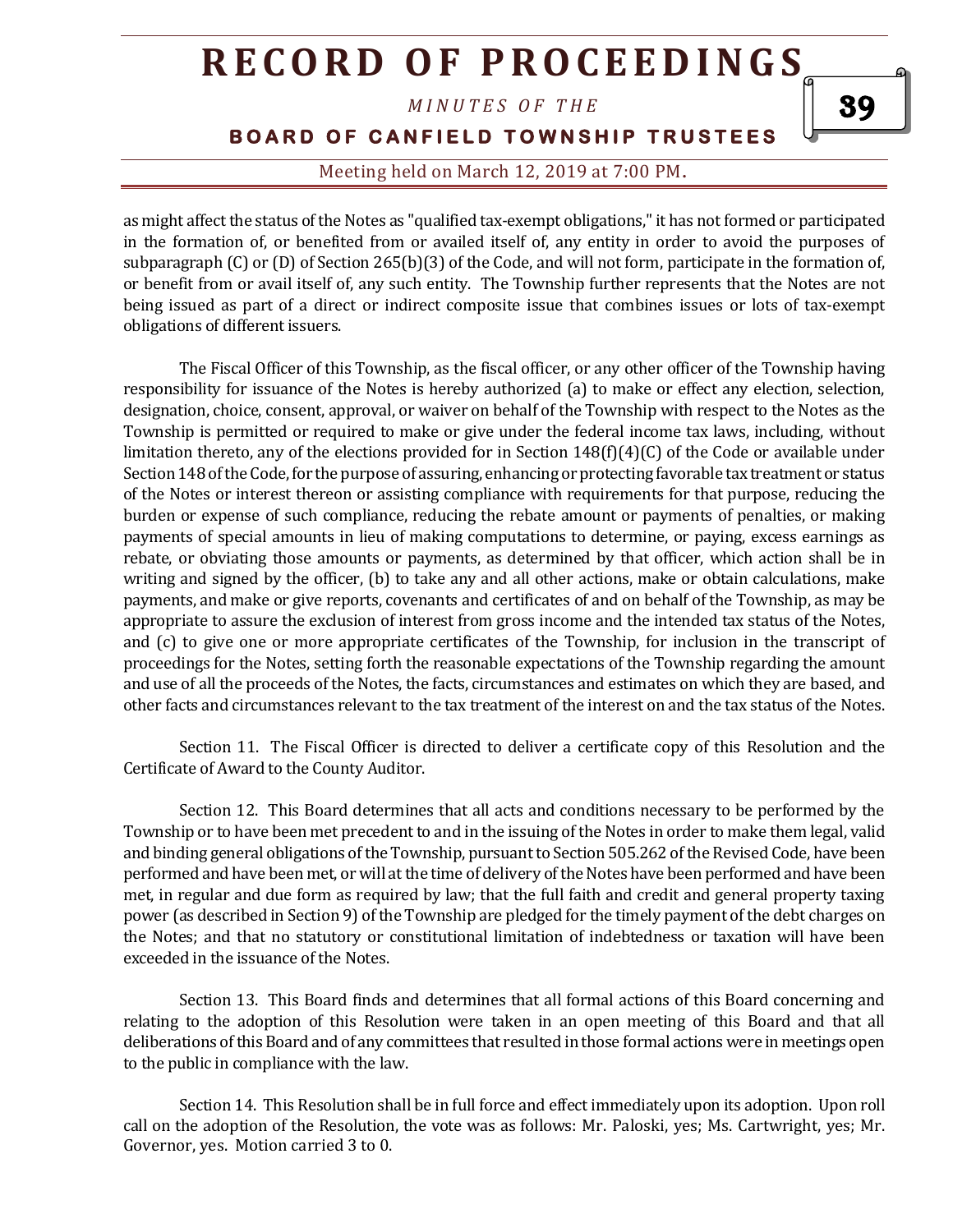*M I N U T E S O F T H E* 

**BOARD OF CANFIELD TOWNSHIP TRUSTEES** 

Meeting held on March 12, 2019 at 7:00 PM**.**

as might affect the status of the Notes as "qualified tax-exempt obligations," it has not formed or participated in the formation of, or benefited from or availed itself of, any entity in order to avoid the purposes of subparagraph (C) or (D) of Section 265(b)(3) of the Code, and will not form, participate in the formation of, or benefit from or avail itself of, any such entity. The Township further represents that the Notes are not being issued as part of a direct or indirect composite issue that combines issues or lots of tax-exempt obligations of different issuers.

The Fiscal Officer of this Township, as the fiscal officer, or any other officer of the Township having responsibility for issuance of the Notes is hereby authorized (a) to make or effect any election, selection, designation, choice, consent, approval, or waiver on behalf of the Township with respect to the Notes as the Township is permitted or required to make or give under the federal income tax laws, including, without limitation thereto, any of the elections provided for in Section 148(f)(4)(C) of the Code or available under Section 148 of the Code, for the purpose of assuring, enhancing or protecting favorable tax treatment or status of the Notes or interest thereon or assisting compliance with requirements for that purpose, reducing the burden or expense of such compliance, reducing the rebate amount or payments of penalties, or making payments of special amounts in lieu of making computations to determine, or paying, excess earnings as rebate, or obviating those amounts or payments, as determined by that officer, which action shall be in writing and signed by the officer, (b) to take any and all other actions, make or obtain calculations, make payments, and make or give reports, covenants and certificates of and on behalf of the Township, as may be appropriate to assure the exclusion of interest from gross income and the intended tax status of the Notes, and (c) to give one or more appropriate certificates of the Township, for inclusion in the transcript of proceedings for the Notes, setting forth the reasonable expectations of the Township regarding the amount and use of all the proceeds of the Notes, the facts, circumstances and estimates on which they are based, and other facts and circumstances relevant to the tax treatment of the interest on and the tax status of the Notes.

Section 11. The Fiscal Officer is directed to deliver a certificate copy of this Resolution and the Certificate of Award to the County Auditor.

Section 12. This Board determines that all acts and conditions necessary to be performed by the Township or to have been met precedent to and in the issuing of the Notes in order to make them legal, valid and binding general obligations of the Township, pursuant to Section 505.262 of the Revised Code, have been performed and have been met, or will at the time of delivery of the Notes have been performed and have been met, in regular and due form as required by law; that the full faith and credit and general property taxing power (as described in Section 9) of the Township are pledged for the timely payment of the debt charges on the Notes; and that no statutory or constitutional limitation of indebtedness or taxation will have been exceeded in the issuance of the Notes.

Section 13. This Board finds and determines that all formal actions of this Board concerning and relating to the adoption of this Resolution were taken in an open meeting of this Board and that all deliberations of this Board and of any committees that resulted in those formal actions were in meetings open to the public in compliance with the law.

Section 14. This Resolution shall be in full force and effect immediately upon its adoption. Upon roll call on the adoption of the Resolution, the vote was as follows: Mr. Paloski, yes; Ms. Cartwright, yes; Mr. Governor, yes. Motion carried 3 to 0.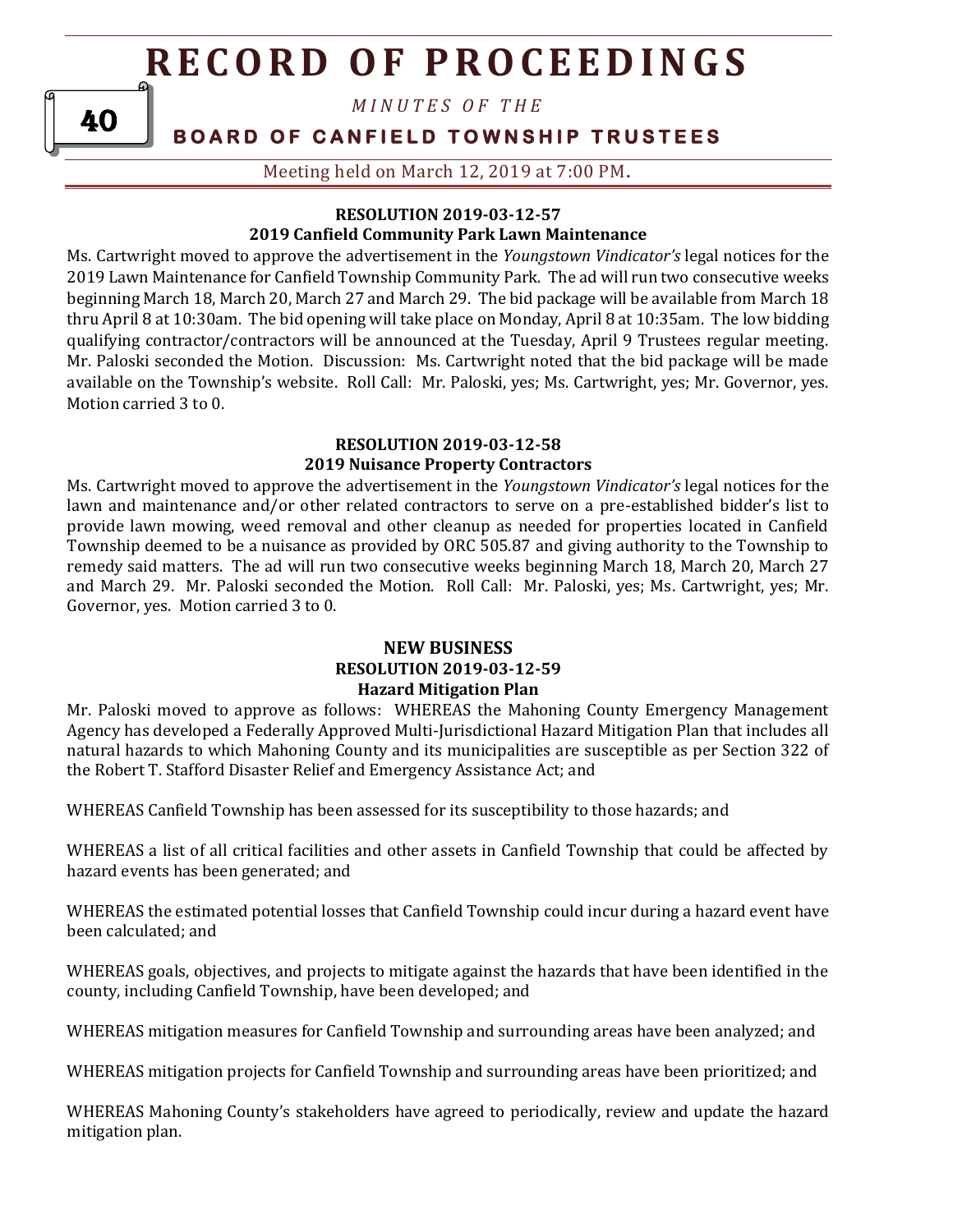*M I N U T E S O F T H E* 

## **BOARD OF CANFIELD TOWNSHIP TRUSTEES**

Meeting held on March 12, 2019 at 7:00 PM**.**

### **RESOLUTION 2019-03-12-57**

### **2019 Canfield Community Park Lawn Maintenance**

Ms. Cartwright moved to approve the advertisement in the *Youngstown Vindicator's* legal notices for the 2019 Lawn Maintenance for Canfield Township Community Park. The ad will run two consecutive weeks beginning March 18, March 20, March 27 and March 29. The bid package will be available from March 18 thru April 8 at 10:30am. The bid opening will take place on Monday, April 8 at 10:35am. The low bidding qualifying contractor/contractors will be announced at the Tuesday, April 9 Trustees regular meeting. Mr. Paloski seconded the Motion. Discussion: Ms. Cartwright noted that the bid package will be made available on the Township's website. Roll Call: Mr. Paloski, yes; Ms. Cartwright, yes; Mr. Governor, yes. Motion carried 3 to 0.

#### **RESOLUTION 2019-03-12-58 2019 Nuisance Property Contractors**

Ms. Cartwright moved to approve the advertisement in the *Youngstown Vindicator's* legal notices for the lawn and maintenance and/or other related contractors to serve on a pre-established bidder's list to provide lawn mowing, weed removal and other cleanup as needed for properties located in Canfield Township deemed to be a nuisance as provided by ORC 505.87 and giving authority to the Township to remedy said matters. The ad will run two consecutive weeks beginning March 18, March 20, March 27 and March 29. Mr. Paloski seconded the Motion. Roll Call: Mr. Paloski, yes; Ms. Cartwright, yes; Mr. Governor, yes. Motion carried 3 to 0.

#### **NEW BUSINESS RESOLUTION 2019-03-12-59 Hazard Mitigation Plan**

Mr. Paloski moved to approve as follows: WHEREAS the Mahoning County Emergency Management Agency has developed a Federally Approved Multi-Jurisdictional Hazard Mitigation Plan that includes all natural hazards to which Mahoning County and its municipalities are susceptible as per Section 322 of the Robert T. Stafford Disaster Relief and Emergency Assistance Act; and

WHEREAS Canfield Township has been assessed for its susceptibility to those hazards; and

WHEREAS a list of all critical facilities and other assets in Canfield Township that could be affected by hazard events has been generated; and

WHEREAS the estimated potential losses that Canfield Township could incur during a hazard event have been calculated; and

WHEREAS goals, objectives, and projects to mitigate against the hazards that have been identified in the county, including Canfield Township, have been developed; and

WHEREAS mitigation measures for Canfield Township and surrounding areas have been analyzed; and

WHEREAS mitigation projects for Canfield Township and surrounding areas have been prioritized; and

WHEREAS Mahoning County's stakeholders have agreed to periodically, review and update the hazard mitigation plan.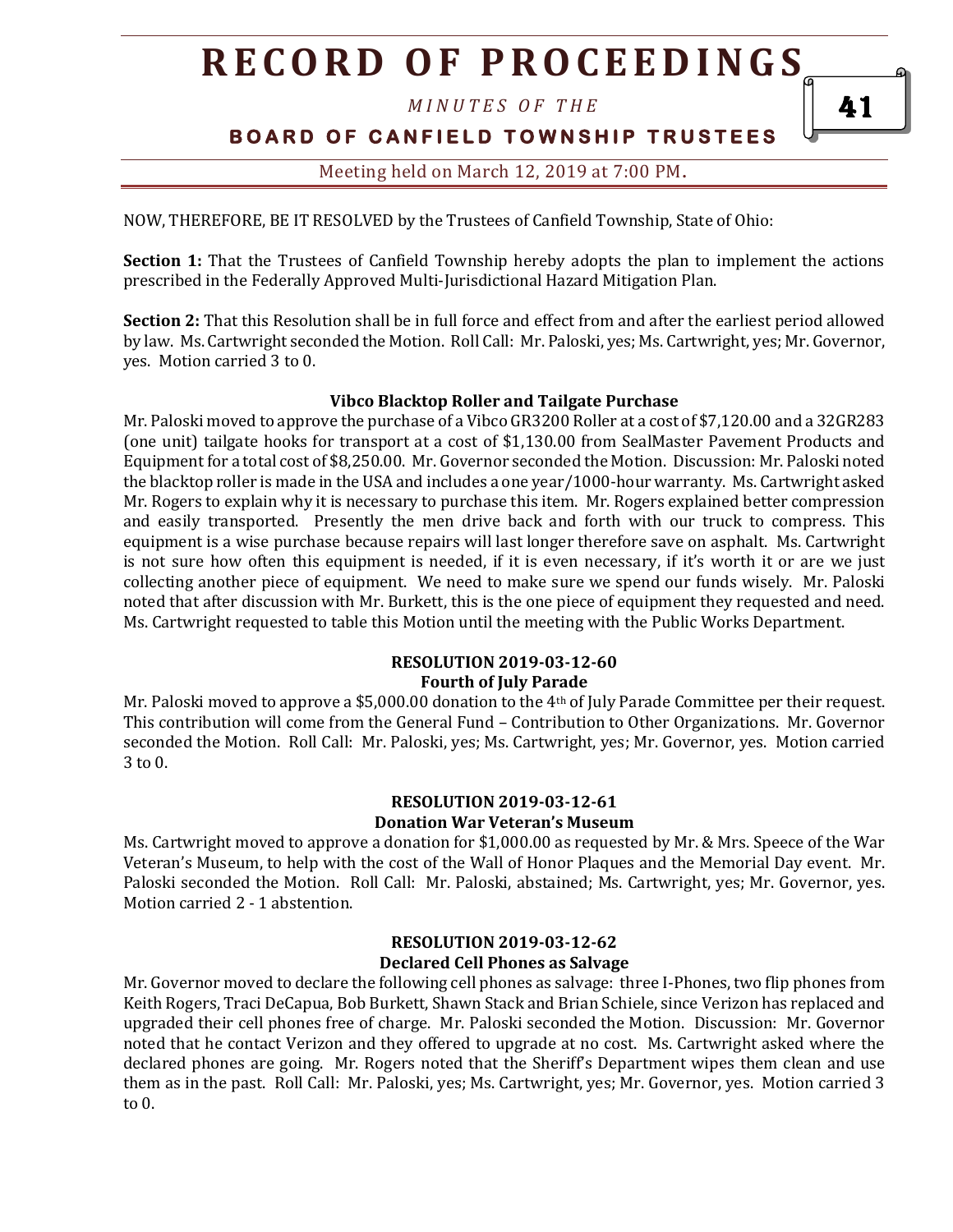*M I N U T E S O F T H E* 

## **BOARD OF CANFIELD TOWNSHIP TRUSTEES**

Meeting held on March 12, 2019 at 7:00 PM**.**

NOW, THEREFORE, BE IT RESOLVED by the Trustees of Canfield Township, State of Ohio:

**Section 1:** That the Trustees of Canfield Township hereby adopts the plan to implement the actions prescribed in the Federally Approved Multi-Jurisdictional Hazard Mitigation Plan.

**Section 2:** That this Resolution shall be in full force and effect from and after the earliest period allowed by law. Ms. Cartwright seconded the Motion. Roll Call: Mr. Paloski, yes; Ms. Cartwright, yes; Mr. Governor, yes. Motion carried 3 to 0.

#### **Vibco Blacktop Roller and Tailgate Purchase**

Mr. Paloski moved to approve the purchase of a Vibco GR3200 Roller at a cost of \$7,120.00 and a 32GR283 (one unit) tailgate hooks for transport at a cost of \$1,130.00 from SealMaster Pavement Products and Equipment for a total cost of \$8,250.00. Mr. Governor seconded the Motion. Discussion: Mr. Paloski noted the blacktop roller is made in the USA and includes a one year/1000-hour warranty. Ms. Cartwright asked Mr. Rogers to explain why it is necessary to purchase this item. Mr. Rogers explained better compression and easily transported. Presently the men drive back and forth with our truck to compress. This equipment is a wise purchase because repairs will last longer therefore save on asphalt. Ms. Cartwright is not sure how often this equipment is needed, if it is even necessary, if it's worth it or are we just collecting another piece of equipment. We need to make sure we spend our funds wisely. Mr. Paloski noted that after discussion with Mr. Burkett, this is the one piece of equipment they requested and need. Ms. Cartwright requested to table this Motion until the meeting with the Public Works Department.

#### **RESOLUTION 2019-03-12-60 Fourth of July Parade**

Mr. Paloski moved to approve a \$5,000.00 donation to the 4th of July Parade Committee per their request. This contribution will come from the General Fund – Contribution to Other Organizations. Mr. Governor seconded the Motion. Roll Call: Mr. Paloski, yes; Ms. Cartwright, yes; Mr. Governor, yes. Motion carried 3 to 0.

### **RESOLUTION 2019-03-12-61 Donation War Veteran's Museum**

Ms. Cartwright moved to approve a donation for \$1,000.00 as requested by Mr. & Mrs. Speece of the War Veteran's Museum, to help with the cost of the Wall of Honor Plaques and the Memorial Day event. Mr. Paloski seconded the Motion. Roll Call: Mr. Paloski, abstained; Ms. Cartwright, yes; Mr. Governor, yes. Motion carried 2 - 1 abstention.

#### **RESOLUTION 2019-03-12-62 Declared Cell Phones as Salvage**

Mr. Governor moved to declare the following cell phones as salvage: three I-Phones, two flip phones from Keith Rogers, Traci DeCapua, Bob Burkett, Shawn Stack and Brian Schiele, since Verizon has replaced and upgraded their cell phones free of charge. Mr. Paloski seconded the Motion. Discussion: Mr. Governor noted that he contact Verizon and they offered to upgrade at no cost. Ms. Cartwright asked where the declared phones are going. Mr. Rogers noted that the Sheriff's Department wipes them clean and use them as in the past. Roll Call: Mr. Paloski, yes; Ms. Cartwright, yes; Mr. Governor, yes. Motion carried 3 to 0.